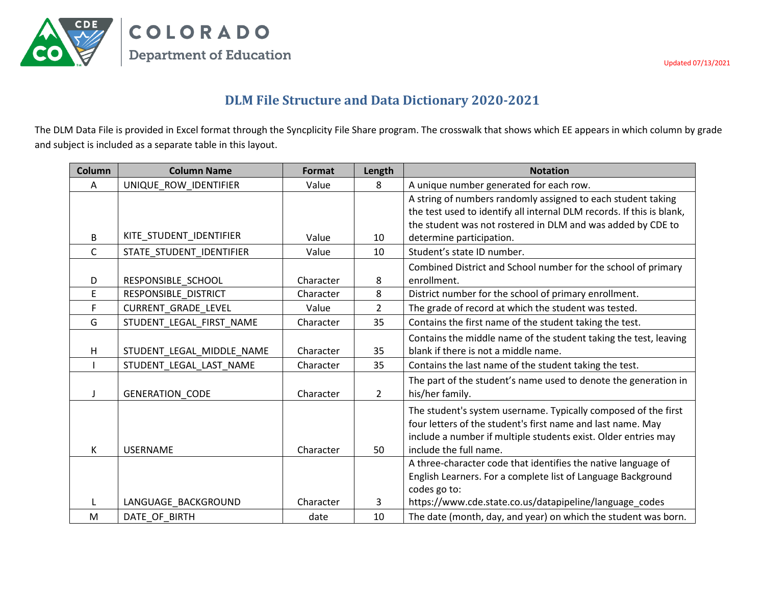

COLORADO **Department of Education** 

Updated 07/13/2021

## **DLM File Structure and Data Dictionary 2020-2021**

The DLM Data File is provided in Excel format through the Syncplicity File Share program. The crosswalk that shows which EE appears in which column by grade and subject is included as a separate table in this layout.

| <b>Column</b> | <b>Column Name</b>        | Format    | Length         | <b>Notation</b>                                                                                                                                                                                                                  |
|---------------|---------------------------|-----------|----------------|----------------------------------------------------------------------------------------------------------------------------------------------------------------------------------------------------------------------------------|
| A             | UNIQUE_ROW_IDENTIFIER     | Value     | 8              | A unique number generated for each row.                                                                                                                                                                                          |
| B             | KITE_STUDENT_IDENTIFIER   | Value     | 10             | A string of numbers randomly assigned to each student taking<br>the test used to identify all internal DLM records. If this is blank,<br>the student was not rostered in DLM and was added by CDE to<br>determine participation. |
| C.            | STATE STUDENT IDENTIFIER  | Value     | 10             | Student's state ID number.                                                                                                                                                                                                       |
| D             | RESPONSIBLE SCHOOL        | Character | 8              | Combined District and School number for the school of primary<br>enrollment.                                                                                                                                                     |
| E             | RESPONSIBLE_DISTRICT      | Character | 8              | District number for the school of primary enrollment.                                                                                                                                                                            |
| F             | CURRENT_GRADE_LEVEL       | Value     | $\overline{2}$ | The grade of record at which the student was tested.                                                                                                                                                                             |
| G             | STUDENT LEGAL FIRST NAME  | Character | 35             | Contains the first name of the student taking the test.                                                                                                                                                                          |
| H             | STUDENT_LEGAL_MIDDLE_NAME | Character | 35             | Contains the middle name of the student taking the test, leaving<br>blank if there is not a middle name.                                                                                                                         |
|               | STUDENT LEGAL LAST NAME   | Character | 35             | Contains the last name of the student taking the test.                                                                                                                                                                           |
|               | GENERATION_CODE           | Character | $\overline{2}$ | The part of the student's name used to denote the generation in<br>his/her family.                                                                                                                                               |
| K             | <b>USERNAME</b>           | Character | 50             | The student's system username. Typically composed of the first<br>four letters of the student's first name and last name. May<br>include a number if multiple students exist. Older entries may<br>include the full name.        |
|               |                           |           |                | A three-character code that identifies the native language of<br>English Learners. For a complete list of Language Background<br>codes go to:                                                                                    |
|               | LANGUAGE BACKGROUND       | Character | 3              | https://www.cde.state.co.us/datapipeline/language_codes                                                                                                                                                                          |
| M             | DATE OF BIRTH             | date      | 10             | The date (month, day, and year) on which the student was born.                                                                                                                                                                   |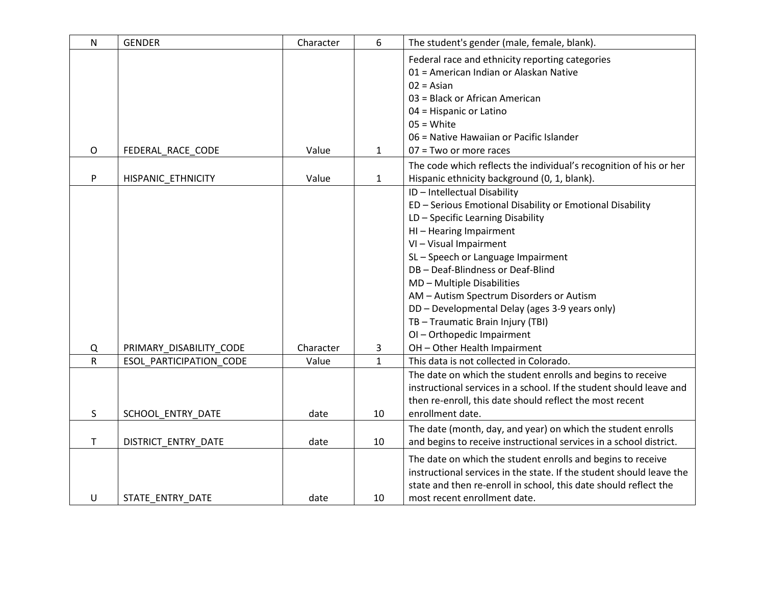| N            | <b>GENDER</b>           | Character | 6            | The student's gender (male, female, blank).                          |  |  |
|--------------|-------------------------|-----------|--------------|----------------------------------------------------------------------|--|--|
|              |                         |           |              | Federal race and ethnicity reporting categories                      |  |  |
|              |                         |           |              | 01 = American Indian or Alaskan Native                               |  |  |
|              |                         |           |              | $02 = Asian$                                                         |  |  |
|              |                         |           |              | 03 = Black or African American                                       |  |  |
|              |                         |           |              | 04 = Hispanic or Latino                                              |  |  |
|              |                         |           |              | $05 = White$                                                         |  |  |
|              |                         |           |              | 06 = Native Hawaiian or Pacific Islander                             |  |  |
| O            | FEDERAL_RACE_CODE       | Value     | $\mathbf{1}$ | $07 = Two$ or more races                                             |  |  |
|              |                         |           |              | The code which reflects the individual's recognition of his or her   |  |  |
| P            | HISPANIC_ETHNICITY      | Value     | $\mathbf{1}$ | Hispanic ethnicity background (0, 1, blank).                         |  |  |
|              |                         |           |              | ID - Intellectual Disability                                         |  |  |
|              |                         |           |              | ED - Serious Emotional Disability or Emotional Disability            |  |  |
|              |                         |           |              | LD - Specific Learning Disability                                    |  |  |
|              |                         |           |              | HI-Hearing Impairment                                                |  |  |
|              |                         |           |              | VI - Visual Impairment                                               |  |  |
|              |                         |           |              | SL-Speech or Language Impairment                                     |  |  |
|              |                         |           |              | DB - Deaf-Blindness or Deaf-Blind                                    |  |  |
|              |                         |           |              | MD - Multiple Disabilities                                           |  |  |
|              |                         |           |              | AM - Autism Spectrum Disorders or Autism                             |  |  |
|              |                         |           |              | DD - Developmental Delay (ages 3-9 years only)                       |  |  |
|              |                         |           |              | TB-Traumatic Brain Injury (TBI)                                      |  |  |
|              |                         |           |              | OI-Orthopedic Impairment                                             |  |  |
| Q            | PRIMARY_DISABILITY_CODE | Character | 3            | OH - Other Health Impairment                                         |  |  |
| $\mathsf{R}$ | ESOL PARTICIPATION CODE | Value     | $\mathbf{1}$ | This data is not collected in Colorado.                              |  |  |
|              |                         |           |              | The date on which the student enrolls and begins to receive          |  |  |
|              |                         |           |              | instructional services in a school. If the student should leave and  |  |  |
|              |                         |           |              | then re-enroll, this date should reflect the most recent             |  |  |
| S            | SCHOOL ENTRY DATE       | date      | 10           | enrollment date.                                                     |  |  |
|              |                         |           |              | The date (month, day, and year) on which the student enrolls         |  |  |
| T            | DISTRICT ENTRY DATE     | date      | 10           | and begins to receive instructional services in a school district.   |  |  |
|              |                         |           |              | The date on which the student enrolls and begins to receive          |  |  |
|              |                         |           |              | instructional services in the state. If the student should leave the |  |  |
|              |                         |           |              | state and then re-enroll in school, this date should reflect the     |  |  |
| U            | STATE ENTRY DATE        | date      | 10           | most recent enrollment date.                                         |  |  |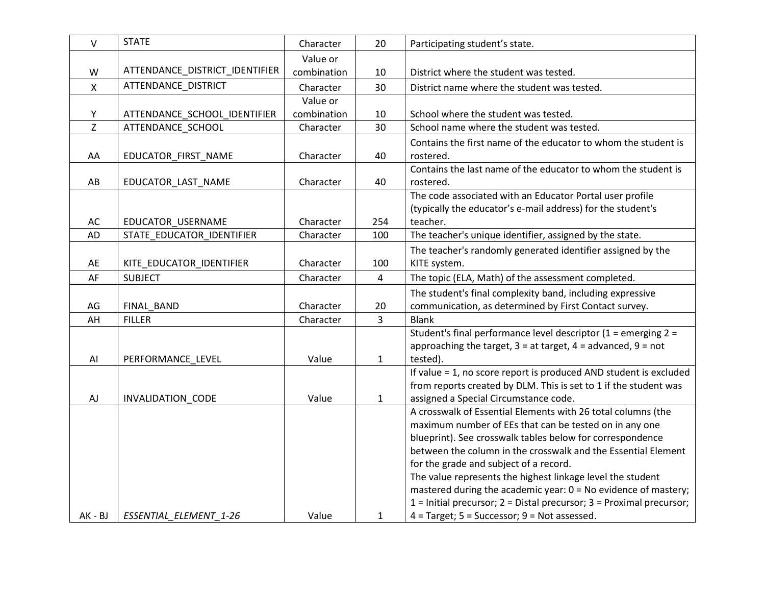| $\vee$    | <b>STATE</b>                   | Character   | 20             | Participating student's state.                                                                                               |
|-----------|--------------------------------|-------------|----------------|------------------------------------------------------------------------------------------------------------------------------|
|           |                                | Value or    |                |                                                                                                                              |
| W         | ATTENDANCE_DISTRICT_IDENTIFIER | combination | 10             | District where the student was tested.                                                                                       |
| X         | ATTENDANCE DISTRICT            | Character   | 30             | District name where the student was tested.                                                                                  |
|           |                                | Value or    |                |                                                                                                                              |
| Y         | ATTENDANCE_SCHOOL_IDENTIFIER   | combination | 10             | School where the student was tested.                                                                                         |
| Z         | ATTENDANCE SCHOOL              | Character   | 30             | School name where the student was tested.                                                                                    |
|           |                                |             |                | Contains the first name of the educator to whom the student is                                                               |
| AA        | EDUCATOR_FIRST_NAME            | Character   | 40             | rostered.                                                                                                                    |
|           |                                |             |                | Contains the last name of the educator to whom the student is                                                                |
| AB        | EDUCATOR_LAST_NAME             | Character   | 40             | rostered.                                                                                                                    |
|           |                                |             |                | The code associated with an Educator Portal user profile                                                                     |
|           |                                |             |                | (typically the educator's e-mail address) for the student's                                                                  |
| AC        | EDUCATOR_USERNAME              | Character   | 254            | teacher.                                                                                                                     |
| <b>AD</b> | STATE EDUCATOR IDENTIFIER      | Character   | 100            | The teacher's unique identifier, assigned by the state.                                                                      |
|           |                                |             |                | The teacher's randomly generated identifier assigned by the                                                                  |
| AE        | KITE_EDUCATOR_IDENTIFIER       | Character   | 100            | KITE system.                                                                                                                 |
| AF        | <b>SUBJECT</b>                 | Character   | $\overline{4}$ | The topic (ELA, Math) of the assessment completed.                                                                           |
|           |                                |             |                | The student's final complexity band, including expressive                                                                    |
| AG        | FINAL BAND                     | Character   | 20             | communication, as determined by First Contact survey.                                                                        |
| AH        | <b>FILLER</b>                  | Character   | $\overline{3}$ | <b>Blank</b>                                                                                                                 |
|           |                                |             |                | Student's final performance level descriptor (1 = emerging 2 =                                                               |
|           |                                |             |                | approaching the target, $3 = at$ target, $4 = ad$ vanced, $9 = not$                                                          |
| AI        | PERFORMANCE_LEVEL              | Value       | $\mathbf{1}$   | tested).                                                                                                                     |
|           |                                |             |                | If value = 1, no score report is produced AND student is excluded                                                            |
|           |                                |             |                | from reports created by DLM. This is set to 1 if the student was                                                             |
| AJ        | <b>INVALIDATION CODE</b>       | Value       | $\mathbf{1}$   | assigned a Special Circumstance code.                                                                                        |
|           |                                |             |                | A crosswalk of Essential Elements with 26 total columns (the                                                                 |
|           |                                |             |                | maximum number of EEs that can be tested on in any one                                                                       |
|           |                                |             |                | blueprint). See crosswalk tables below for correspondence                                                                    |
|           |                                |             |                | between the column in the crosswalk and the Essential Element                                                                |
|           |                                |             |                | for the grade and subject of a record.                                                                                       |
|           |                                |             |                | The value represents the highest linkage level the student<br>mastered during the academic year: 0 = No evidence of mastery; |
|           |                                |             |                | 1 = Initial precursor; 2 = Distal precursor; 3 = Proximal precursor;                                                         |
| AK - BJ   | ESSENTIAL ELEMENT 1-26         | Value       | $\mathbf{1}$   | $4$ = Target; $5$ = Successor; $9$ = Not assessed.                                                                           |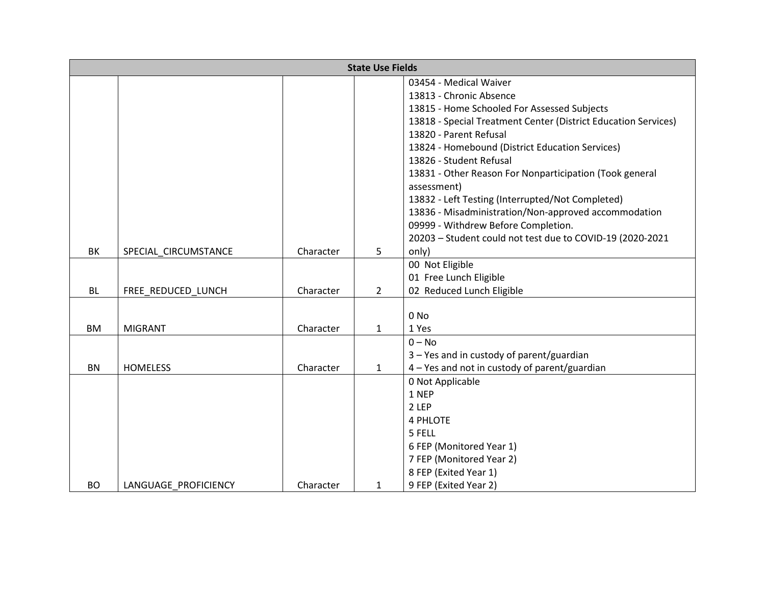| <b>State Use Fields</b> |                      |           |                |                                                                |  |  |  |
|-------------------------|----------------------|-----------|----------------|----------------------------------------------------------------|--|--|--|
|                         |                      |           |                | 03454 - Medical Waiver                                         |  |  |  |
|                         |                      |           |                | 13813 - Chronic Absence                                        |  |  |  |
|                         |                      |           |                | 13815 - Home Schooled For Assessed Subjects                    |  |  |  |
|                         |                      |           |                | 13818 - Special Treatment Center (District Education Services) |  |  |  |
|                         |                      |           |                | 13820 - Parent Refusal                                         |  |  |  |
|                         |                      |           |                | 13824 - Homebound (District Education Services)                |  |  |  |
|                         |                      |           |                | 13826 - Student Refusal                                        |  |  |  |
|                         |                      |           |                | 13831 - Other Reason For Nonparticipation (Took general        |  |  |  |
|                         |                      |           |                | assessment)                                                    |  |  |  |
|                         |                      |           |                | 13832 - Left Testing (Interrupted/Not Completed)               |  |  |  |
|                         |                      |           |                | 13836 - Misadministration/Non-approved accommodation           |  |  |  |
|                         |                      |           |                | 09999 - Withdrew Before Completion.                            |  |  |  |
|                         |                      |           |                | 20203 - Student could not test due to COVID-19 (2020-2021      |  |  |  |
| BK                      | SPECIAL_CIRCUMSTANCE | Character | 5              | only)                                                          |  |  |  |
|                         |                      |           |                | 00 Not Eligible                                                |  |  |  |
|                         |                      |           |                | 01 Free Lunch Eligible                                         |  |  |  |
| <b>BL</b>               | FREE REDUCED LUNCH   | Character | $\overline{2}$ | 02 Reduced Lunch Eligible                                      |  |  |  |
|                         |                      |           |                |                                                                |  |  |  |
|                         |                      |           |                | 0 No                                                           |  |  |  |
| BM                      | <b>MIGRANT</b>       | Character | $\mathbf{1}$   | 1 Yes                                                          |  |  |  |
|                         |                      |           |                | $0 - No$                                                       |  |  |  |
|                         |                      |           |                | 3 - Yes and in custody of parent/guardian                      |  |  |  |
| BN                      | <b>HOMELESS</b>      | Character | $\mathbf{1}$   | 4 - Yes and not in custody of parent/guardian                  |  |  |  |
|                         |                      |           |                | 0 Not Applicable                                               |  |  |  |
|                         |                      |           |                | 1 NEP<br>2 LEP                                                 |  |  |  |
|                         |                      |           |                | <b>4 PHLOTE</b>                                                |  |  |  |
|                         |                      |           |                | 5 FELL                                                         |  |  |  |
|                         |                      |           |                | 6 FEP (Monitored Year 1)                                       |  |  |  |
|                         |                      |           |                | 7 FEP (Monitored Year 2)                                       |  |  |  |
|                         |                      |           |                | 8 FEP (Exited Year 1)                                          |  |  |  |
| <b>BO</b>               | LANGUAGE PROFICIENCY | Character | 1              | 9 FEP (Exited Year 2)                                          |  |  |  |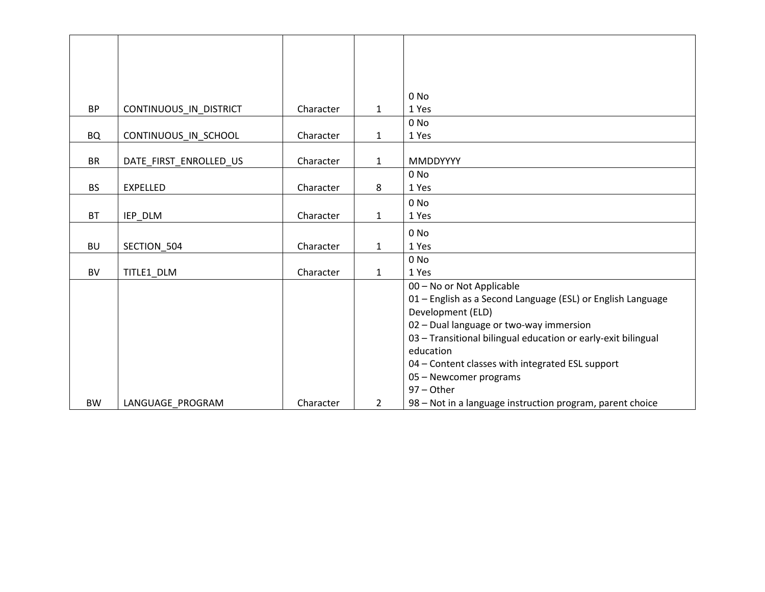|           |                        |           |                | $0$ No                                                        |
|-----------|------------------------|-----------|----------------|---------------------------------------------------------------|
| <b>BP</b> | CONTINUOUS_IN_DISTRICT | Character | $\mathbf{1}$   | 1 Yes                                                         |
|           |                        |           |                | 0 No                                                          |
| <b>BQ</b> | CONTINUOUS_IN_SCHOOL   | Character | $\mathbf{1}$   | 1 Yes                                                         |
|           |                        |           |                |                                                               |
| <b>BR</b> | DATE FIRST ENROLLED US | Character | $\mathbf{1}$   | <b>MMDDYYYY</b>                                               |
|           |                        |           |                | 0 No                                                          |
| <b>BS</b> | EXPELLED               | Character | 8              | 1 Yes                                                         |
|           |                        |           |                | 0 No                                                          |
| <b>BT</b> | IEP DLM                | Character | $\mathbf{1}$   | 1 Yes                                                         |
|           |                        |           |                | 0 No                                                          |
| <b>BU</b> | SECTION 504            | Character | 1              | 1 Yes                                                         |
|           |                        |           |                | 0 No                                                          |
| <b>BV</b> | TITLE1 DLM             | Character | $\mathbf{1}$   | 1 Yes                                                         |
|           |                        |           |                | 00 - No or Not Applicable                                     |
|           |                        |           |                | 01 - English as a Second Language (ESL) or English Language   |
|           |                        |           |                | Development (ELD)                                             |
|           |                        |           |                | 02 - Dual language or two-way immersion                       |
|           |                        |           |                | 03 - Transitional bilingual education or early-exit bilingual |
|           |                        |           |                | education                                                     |
|           |                        |           |                | 04 - Content classes with integrated ESL support              |
|           |                        |           |                | 05 - Newcomer programs                                        |
|           |                        |           |                | $97 - Other$                                                  |
|           |                        |           | $\overline{2}$ |                                                               |
| <b>BW</b> | LANGUAGE PROGRAM       | Character |                | 98 – Not in a language instruction program, parent choice     |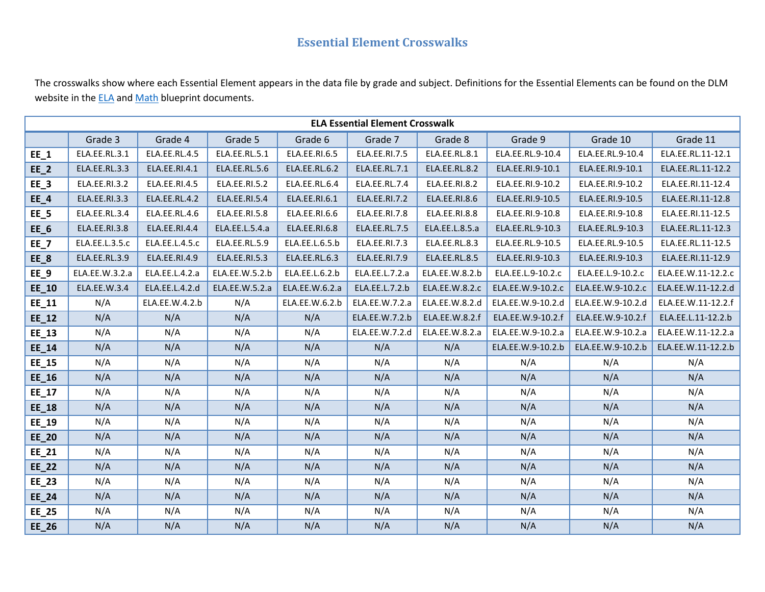## **Essential Element Crosswalks**

The crosswalks show where each Essential Element appears in the data file by grade and subject. Definitions for the Essential Elements can be found on the DLM website in the **ELA** and **[Math](http://dynamiclearningmaps.org/sites/default/files/documents/Manuals_Blueprints/math_ye_blueprint.pdf) blueprint documents.** 

| <b>ELA Essential Element Crosswalk</b> |                |                |                |                |                |                |                   |                   |                    |  |
|----------------------------------------|----------------|----------------|----------------|----------------|----------------|----------------|-------------------|-------------------|--------------------|--|
|                                        | Grade 3        | Grade 4        | Grade 5        | Grade 6        | Grade 7        | Grade 8        | Grade 9           | Grade 10          | Grade 11           |  |
| $EE_1$                                 | ELA.EE.RL.3.1  | ELA.EE.RL.4.5  | ELA.EE.RL.5.1  | ELA.EE.RI.6.5  | ELA.EE.RI.7.5  | ELA.EE.RL.8.1  | ELA.EE.RL.9-10.4  | ELA.EE.RL.9-10.4  | ELA.EE.RL.11-12.1  |  |
| $EE_2$                                 | ELA.EE.RL.3.3  | ELA.EE.RI.4.1  | ELA.EE.RL.5.6  | ELA.EE.RL.6.2  | ELA.EE.RL.7.1  | ELA.EE.RL.8.2  | ELA.EE.RI.9-10.1  | ELA.EE.RI.9-10.1  | ELA.EE.RL.11-12.2  |  |
| $EE_3$                                 | ELA.EE.RI.3.2  | ELA.EE.RI.4.5  | ELA.EE.RI.5.2  | ELA.EE.RL.6.4  | ELA.EE.RL.7.4  | ELA.EE.RI.8.2  | ELA.EE.RI.9-10.2  | ELA.EE.RI.9-10.2  | ELA.EE.RI.11-12.4  |  |
| $EE_4$                                 | ELA.EE.RI.3.3  | ELA.EE.RL.4.2  | ELA.EE.RI.5.4  | ELA.EE.RI.6.1  | ELA.EE.RI.7.2  | ELA.EE.RI.8.6  | ELA.EE.RI.9-10.5  | ELA.EE.RI.9-10.5  | ELA.EE.RI.11-12.8  |  |
| $EE_5$                                 | ELA.EE.RL.3.4  | ELA.EE.RL.4.6  | ELA.EE.RI.5.8  | ELA.EE.RI.6.6  | ELA.EE.RI.7.8  | ELA.EE.RI.8.8  | ELA.EE.RI.9-10.8  | ELA.EE.RI.9-10.8  | ELA.EE.RI.11-12.5  |  |
| $EE_6$                                 | ELA.EE.RI.3.8  | ELA.EE.RI.4.4  | ELA.EE.L.5.4.a | ELA.EE.RI.6.8  | ELA.EE.RL.7.5  | ELA.EE.L.8.5.a | ELA.EE.RL.9-10.3  | ELA.EE.RL.9-10.3  | ELA.EE.RL.11-12.3  |  |
| $EE_7$                                 | ELA.EE.L.3.5.c | ELA.EE.L.4.5.c | ELA.EE.RL.5.9  | ELA.EE.L.6.5.b | ELA.EE.RI.7.3  | ELA.EE.RL.8.3  | ELA.EE.RL.9-10.5  | ELA.EE.RL.9-10.5  | ELA.EE.RL.11-12.5  |  |
| $EE_8$                                 | ELA.EE.RL.3.9  | ELA.EE.RI.4.9  | ELA.EE.RI.5.3  | ELA.EE.RL.6.3  | ELA.EE.RI.7.9  | ELA.EE.RL.8.5  | ELA.EE.RI.9-10.3  | ELA.EE.RI.9-10.3  | ELA.EE.RI.11-12.9  |  |
| $EE_9$                                 | ELA.EE.W.3.2.a | ELA.EE.L.4.2.a | ELA.EE.W.5.2.b | ELA.EE.L.6.2.b | ELA.EE.L.7.2.a | ELA.EE.W.8.2.b | ELA.EE.L.9-10.2.c | ELA.EE.L.9-10.2.c | ELA.EE.W.11-12.2.c |  |
| $EE_10$                                | ELA.EE.W.3.4   | ELA.EE.L.4.2.d | ELA.EE.W.5.2.a | ELA.EE.W.6.2.a | ELA.EE.L.7.2.b | ELA.EE.W.8.2.c | ELA.EE.W.9-10.2.c | ELA.EE.W.9-10.2.c | ELA.EE.W.11-12.2.d |  |
| EE_11                                  | N/A            | ELA.EE.W.4.2.b | N/A            | ELA.EE.W.6.2.b | ELA.EE.W.7.2.a | ELA.EE.W.8.2.d | ELA.EE.W.9-10.2.d | ELA.EE.W.9-10.2.d | ELA.EE.W.11-12.2.f |  |
| $EE_12$                                | N/A            | N/A            | N/A            | N/A            | ELA.EE.W.7.2.b | ELA.EE.W.8.2.f | ELA.EE.W.9-10.2.f | ELA.EE.W.9-10.2.f | ELA.EE.L.11-12.2.b |  |
| $EE_13$                                | N/A            | N/A            | N/A            | N/A            | ELA.EE.W.7.2.d | ELA.EE.W.8.2.a | ELA.EE.W.9-10.2.a | ELA.EE.W.9-10.2.a | ELA.EE.W.11-12.2.a |  |
| $EE_14$                                | N/A            | N/A            | N/A            | N/A            | N/A            | N/A            | ELA.EE.W.9-10.2.b | ELA.EE.W.9-10.2.b | ELA.EE.W.11-12.2.b |  |
| $EE_15$                                | N/A            | N/A            | N/A            | N/A            | N/A            | N/A            | N/A               | N/A               | N/A                |  |
| $EE_16$                                | N/A            | N/A            | N/A            | N/A            | N/A            | N/A            | N/A               | N/A               | N/A                |  |
| $EE_17$                                | N/A            | N/A            | N/A            | N/A            | N/A            | N/A            | N/A               | N/A               | N/A                |  |
| $EE_18$                                | N/A            | N/A            | N/A            | N/A            | N/A            | N/A            | N/A               | N/A               | N/A                |  |
| EE_19                                  | N/A            | N/A            | N/A            | N/A            | N/A            | N/A            | N/A               | N/A               | N/A                |  |
| $EE_20$                                | N/A            | N/A            | N/A            | N/A            | N/A            | N/A            | N/A               | N/A               | N/A                |  |
| $EE_21$                                | N/A            | N/A            | N/A            | N/A            | N/A            | N/A            | N/A               | N/A               | N/A                |  |
| $EE_22$                                | N/A            | N/A            | N/A            | N/A            | N/A            | N/A            | N/A               | N/A               | N/A                |  |
| EE_23                                  | N/A            | N/A            | N/A            | N/A            | N/A            | N/A            | N/A               | N/A               | N/A                |  |
| $EE_24$                                | N/A            | N/A            | N/A            | N/A            | N/A            | N/A            | N/A               | N/A               | N/A                |  |
| $EE_25$                                | N/A            | N/A            | N/A            | N/A            | N/A            | N/A            | N/A               | N/A               | N/A                |  |
| $EE_26$                                | N/A            | N/A            | N/A            | N/A            | N/A            | N/A            | N/A               | N/A               | N/A                |  |